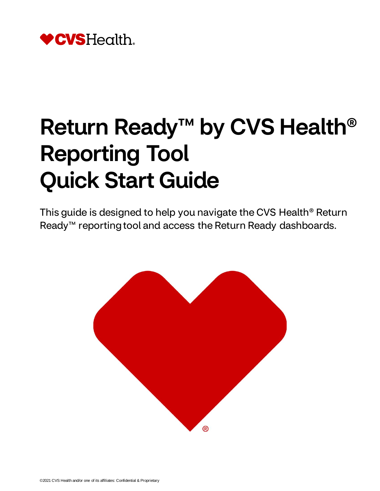

# Return Ready™ by CVS Health<sup>®</sup> Reporting Tool Quick Start Guide

This guide is designed to help you navigate the CVS Health® Return Ready<sup>™</sup> reporting tool and access the Return Ready dashboards.

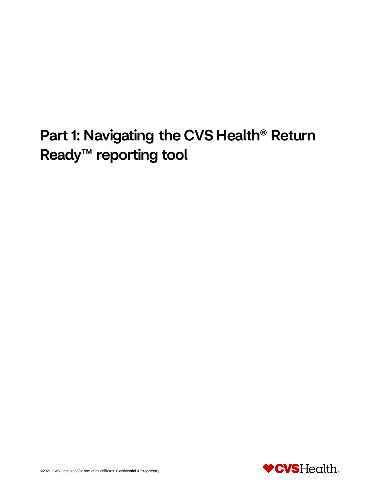## Part 1: Navigating the CVS Health® Return Ready<sup>™</sup> reporting tool

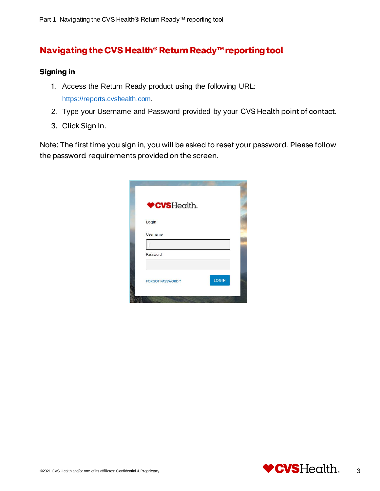### **Navigating the CVS Health® Return Ready™reporting tool**

#### **Signing in**

- 1. Access the Return Ready product using the following URL: [https://reports.cvshealth.com.](https://reports.cvshealth.com/)
- 2. Type your Username and Password provided by your CVS Health point of contact.
- 3. Click Sign In.

Note: The first time you sign in, you will be asked to reset your password. Please follow the password requirements provided on the screen.

| ♥CVSHealth.             |              |
|-------------------------|--------------|
| Login                   |              |
| Username                |              |
|                         |              |
| Password                |              |
| <b>FORGOT PASSWORD?</b> | <b>LOGIN</b> |

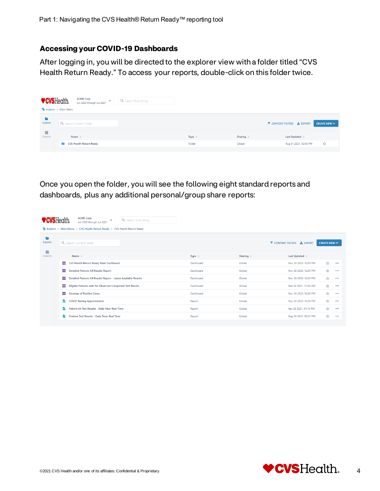#### **Accessing your COVID-19 Dashboards**

After logging in, you will be directed to the explorer view with a folder titled "CVS Health Return Ready." To access your reports, double-click on this folder twice.

|              | <b>ACME Corp</b><br><b>♥CVSHealth.</b><br>$\checkmark$<br>Jun 2020 through Jun 2021 | Q Search Everything |                   |                      |                                                 |  |
|--------------|-------------------------------------------------------------------------------------|---------------------|-------------------|----------------------|-------------------------------------------------|--|
|              | Explore > Main Menu                                                                 |                     |                   |                      |                                                 |  |
| G<br>Explore | Q Search Current Folder                                                             |                     |                   |                      | Y CONTENT FILTERS & EXPORT<br>CREATE NEW $\vee$ |  |
| 带<br>Cohorts | Name $\triangleq$                                                                   |                     | Type $\triangleq$ | Sharing $\triangleq$ | Last Updated $\triangleq$                       |  |
|              | <b>CVS Health Return Ready</b>                                                      |                     | Folder            | Global               | Aug 31 2021, 02:00 PM<br>☆                      |  |

Once you open the folder, you will see the following eight standard reports and dashboards, plus any additional personal/group share reports:

| <b>CVSHealth.</b>                                                       |                                                                                                                                          | <b>ACME Corp</b><br>$\checkmark$<br>Jun 2020 through Jun 2021 | Q Search Everything |                   |                                                 |                           |          |          |  |  |  |
|-------------------------------------------------------------------------|------------------------------------------------------------------------------------------------------------------------------------------|---------------------------------------------------------------|---------------------|-------------------|-------------------------------------------------|---------------------------|----------|----------|--|--|--|
| Explore > Main Menu > CVS Health Return Ready > CVS Health Return Ready |                                                                                                                                          |                                                               |                     |                   |                                                 |                           |          |          |  |  |  |
| G<br>Explore                                                            | Q Search Current Folder                                                                                                                  |                                                               |                     |                   | Y CONTENT FILTERS & EXPORT<br>CREATE NEW $\vee$ |                           |          |          |  |  |  |
| W<br>Cohorts                                                            |                                                                                                                                          | Name $\triangleq$                                             |                     | Type $\triangleq$ | Sharing $\triangleq$                            | Last Updated $\triangleq$ |          |          |  |  |  |
|                                                                         | н.                                                                                                                                       | CVS Health Return Ready Main Dashboard                        |                     | Dashboard         | Global                                          | Nov 20 2020, 12:31 PM     | ☆        |          |  |  |  |
|                                                                         | 99.                                                                                                                                      | <b>Detailed Patients All Results Report</b>                   |                     | Dashboard         | Global                                          | Nov 20 2020, 12:31 PM     | ☆        | $\cdots$ |  |  |  |
|                                                                         | н.<br>Detailed Patients All Results Report - Latest Available Results<br>н.<br>Eligible Patients with No Observed Completed Test Results |                                                               | Dashboard           | Global            | Nov 20 2020, 12:31 PM                           | ☆                         |          |          |  |  |  |
|                                                                         |                                                                                                                                          |                                                               | Dashboard           | Global            | Mar 02 2021, 11:55 AM                           | ☆                         | $\cdots$ |          |  |  |  |
| н.<br><b>Geomap of Positive Cases</b>                                   |                                                                                                                                          |                                                               |                     | Dashboard         | Global                                          | Nov 20 2020, 12:31 PM     | ☆        | $\cdots$ |  |  |  |
|                                                                         | B                                                                                                                                        | <b>COVID Testing Appointments</b>                             |                     | Report            | Global                                          | Nov 20 2020, 12:31 PM     | ☆        |          |  |  |  |
|                                                                         | B                                                                                                                                        | Patient All Test Results - Daily Near Real Time               |                     | Report            | Global                                          | Apr 23 2021, 01:15 PM     | ☆        | $\cdots$ |  |  |  |
|                                                                         | B                                                                                                                                        | Positive Test Results - Daily Near Real Time                  |                     | Report            | Global                                          | Aug 30 2021, 05:57 PM     | ☆        |          |  |  |  |
|                                                                         |                                                                                                                                          |                                                               |                     |                   |                                                 |                           |          |          |  |  |  |

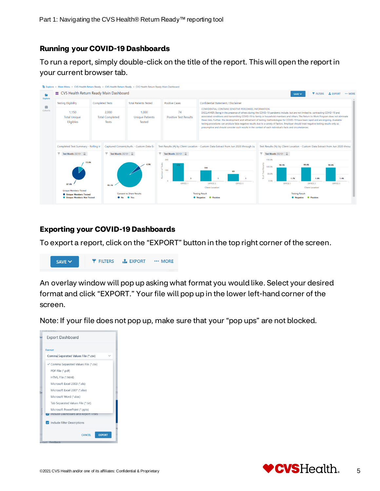#### **Running your COVID-19 Dashboards**

To run a report, simply double-click on the title of the report. This will open the report in your current browser tab.



#### **Exporting your COVID-19 Dashboards**

To export a report, click on the "EXPORT" button in the top right corner of the screen.



An overlay window will pop up asking what format you would like. Select your desired format and click "EXPORT." Your file will pop up in the lower left-hand corner of the screen.

Note: If your file does not pop up, make sure that your "pop ups" are not blocked.



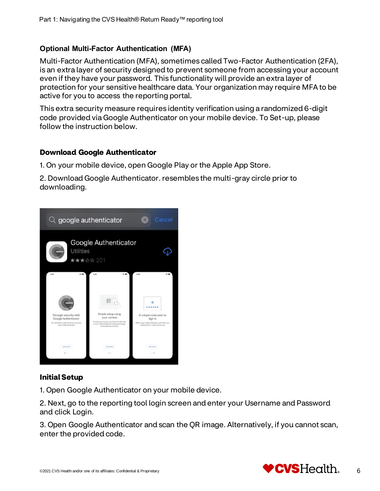#### **Optional Multi-Factor Authentication (MFA)**

Multi-Factor Authentication (MFA), sometimes called Two-Factor Authentication (2FA), is an extra layer of security designed to prevent someone from accessing your account even if they have your password. This functionality will provide an extra layer of protection for your sensitive healthcare data. Your organization may require MFA to be active for you to access the reporting portal.

This extra security measure requires identity verification using a randomized 6-digit code provided via Google Authenticator on your mobile device. To Set-up, please follow the instruction below.

#### **Download Google Authenticator**

1. On your mobile device, open Google Play or the Apple App Store.

2. Download Google Authenticator. resembles the multi-gray circle prior to downloading.



#### **Initial Setup**

1. Open Google Authenticator on your mobile device.

2. Next, go to the reporting tool login screen and enter your Username and Password and click Login.

3. Open Google Authenticator and scan the QR image. Alternatively, if you cannot scan, enter the provided code.